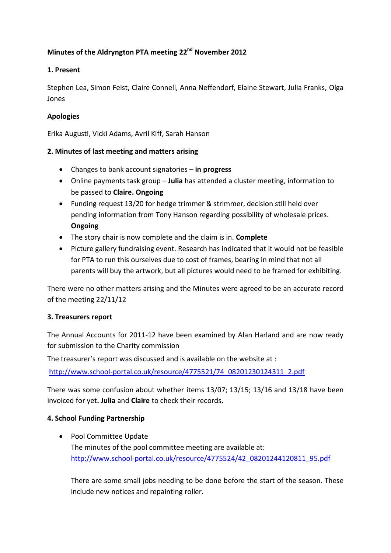# **Minutes of the Aldryngton PTA meeting 22nd November 2012**

#### **1. Present**

Stephen Lea, Simon Feist, Claire Connell, Anna Neffendorf, Elaine Stewart, Julia Franks, Olga Jones

#### **Apologies**

Erika Augusti, Vicki Adams, Avril Kiff, Sarah Hanson

#### **2. Minutes of last meeting and matters arising**

- Changes to bank account signatories **in progress**
- Online payments task group **Julia** has attended a cluster meeting, information to be passed to **Claire. Ongoing**
- Funding request 13/20 for hedge trimmer & strimmer, decision still held over pending information from Tony Hanson regarding possibility of wholesale prices. **Ongoing**
- The story chair is now complete and the claim is in. **Complete**
- Picture gallery fundraising event. Research has indicated that it would not be feasible for PTA to run this ourselves due to cost of frames, bearing in mind that not all parents will buy the artwork, but all pictures would need to be framed for exhibiting.

There were no other matters arising and the Minutes were agreed to be an accurate record of the meeting 22/11/12

#### **3. Treasurers report**

The Annual Accounts for 2011-12 have been examined by Alan Harland and are now ready for submission to the Charity commission

The treasurer's report was discussed and is available on the website at :

[http://www.school-portal.co.uk/resource/4775521/74\\_08201230124311\\_2.pdf](http://www.school-portal.co.uk/resource/4775521/74_08201230124311_2.pdf)

There was some confusion about whether items 13/07; 13/15; 13/16 and 13/18 have been invoiced for yet**. Julia** and **Claire** to check their records**.**

#### **4. School Funding Partnership**

• Pool Committee Update The minutes of the pool committee meeting are available at: [http://www.school-portal.co.uk/resource/4775524/42\\_08201244120811\\_95.pdf](http://www.school-portal.co.uk/resource/4775524/42_08201244120811_95.pdf)

There are some small jobs needing to be done before the start of the season. These include new notices and repainting roller.